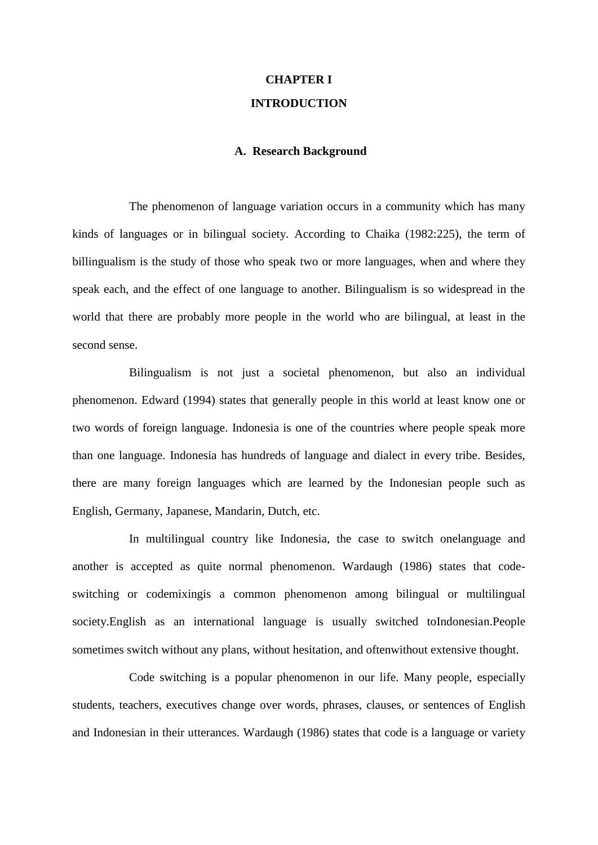# **CHAPTER I INTRODUCTION**

# **A. Research Background**

The phenomenon of language variation occurs in a community which has many kinds of languages or in bilingual society. According to Chaika (1982:225), the term of billingualism is the study of those who speak two or more languages, when and where they speak each, and the effect of one language to another. Bilingualism is so widespread in the world that there are probably more people in the world who are bilingual, at least in the second sense.

Bilingualism is not just a societal phenomenon, but also an individual phenomenon. Edward (1994) states that generally people in this world at least know one or two words of foreign language. Indonesia is one of the countries where people speak more than one language. Indonesia has hundreds of language and dialect in every tribe. Besides, there are many foreign languages which are learned by the Indonesian people such as English, Germany, Japanese, Mandarin, Dutch, etc.

In multilingual country like Indonesia, the case to switch onelanguage and another is accepted as quite normal phenomenon. Wardaugh (1986) states that codeswitching or codemixingis a common phenomenon among bilingual or multilingual society.English as an international language is usually switched toIndonesian.People sometimes switch without any plans, without hesitation, and oftenwithout extensive thought.

Code switching is a popular phenomenon in our life. Many people, especially students, teachers, executives change over words, phrases, clauses, or sentences of English and Indonesian in their utterances. Wardaugh (1986) states that code is a language or variety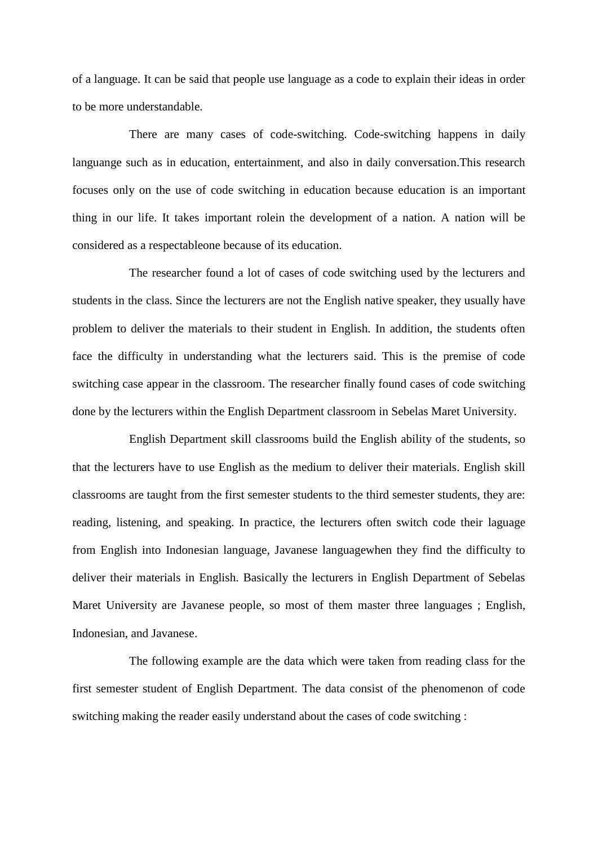of a language. It can be said that people use language as a code to explain their ideas in order to be more understandable.

There are many cases of code-switching. Code-switching happens in daily languange such as in education, entertainment, and also in daily conversation.This research focuses only on the use of code switching in education because education is an important thing in our life. It takes important rolein the development of a nation. A nation will be considered as a respectableone because of its education.

The researcher found a lot of cases of code switching used by the lecturers and students in the class. Since the lecturers are not the English native speaker, they usually have problem to deliver the materials to their student in English. In addition, the students often face the difficulty in understanding what the lecturers said. This is the premise of code switching case appear in the classroom. The researcher finally found cases of code switching done by the lecturers within the English Department classroom in Sebelas Maret University.

English Department skill classrooms build the English ability of the students, so that the lecturers have to use English as the medium to deliver their materials. English skill classrooms are taught from the first semester students to the third semester students, they are: reading, listening, and speaking. In practice, the lecturers often switch code their laguage from English into Indonesian language, Javanese languagewhen they find the difficulty to deliver their materials in English. Basically the lecturers in English Department of Sebelas Maret University are Javanese people, so most of them master three languages ; English, Indonesian, and Javanese.

The following example are the data which were taken from reading class for the first semester student of English Department. The data consist of the phenomenon of code switching making the reader easily understand about the cases of code switching :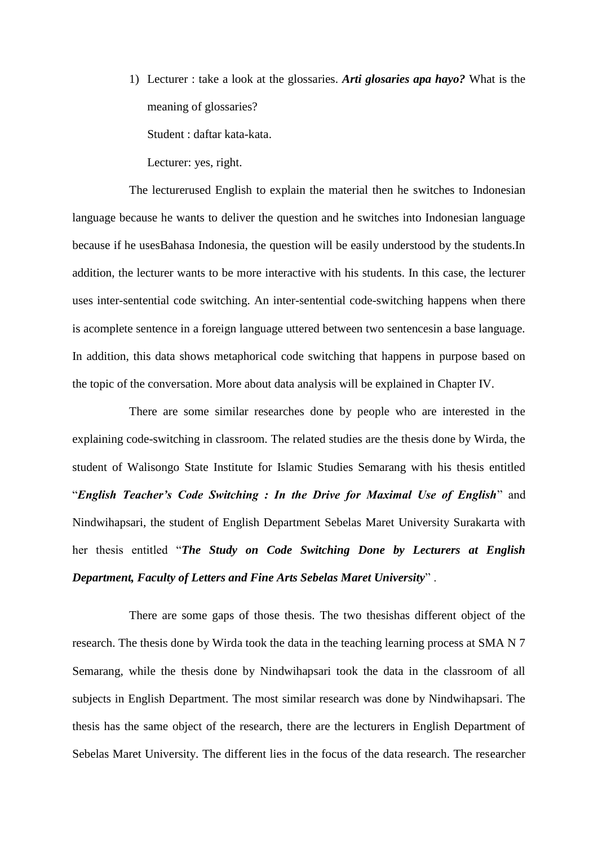1) Lecturer : take a look at the glossaries. *Arti glosaries apa hayo?* What is the meaning of glossaries? Student : daftar kata-kata.

Lecturer: yes, right.

The lecturerused English to explain the material then he switches to Indonesian language because he wants to deliver the question and he switches into Indonesian language because if he usesBahasa Indonesia, the question will be easily understood by the students.In addition, the lecturer wants to be more interactive with his students. In this case, the lecturer uses inter-sentential code switching. An inter-sentential code-switching happens when there is acomplete sentence in a foreign language uttered between two sentencesin a base language. In addition, this data shows metaphorical code switching that happens in purpose based on the topic of the conversation. More about data analysis will be explained in Chapter IV.

There are some similar researches done by people who are interested in the explaining code-switching in classroom. The related studies are the thesis done by Wirda, the student of Walisongo State Institute for Islamic Studies Semarang with his thesis entitled "*English Teacher's Code Switching : In the Drive for Maximal Use of English*" and Nindwihapsari, the student of English Department Sebelas Maret University Surakarta with her thesis entitled "*The Study on Code Switching Done by Lecturers at English Department, Faculty of Letters and Fine Arts Sebelas Maret University*" .

There are some gaps of those thesis. The two thesishas different object of the research. The thesis done by Wirda took the data in the teaching learning process at SMA N 7 Semarang, while the thesis done by Nindwihapsari took the data in the classroom of all subjects in English Department. The most similar research was done by Nindwihapsari. The thesis has the same object of the research, there are the lecturers in English Department of Sebelas Maret University. The different lies in the focus of the data research. The researcher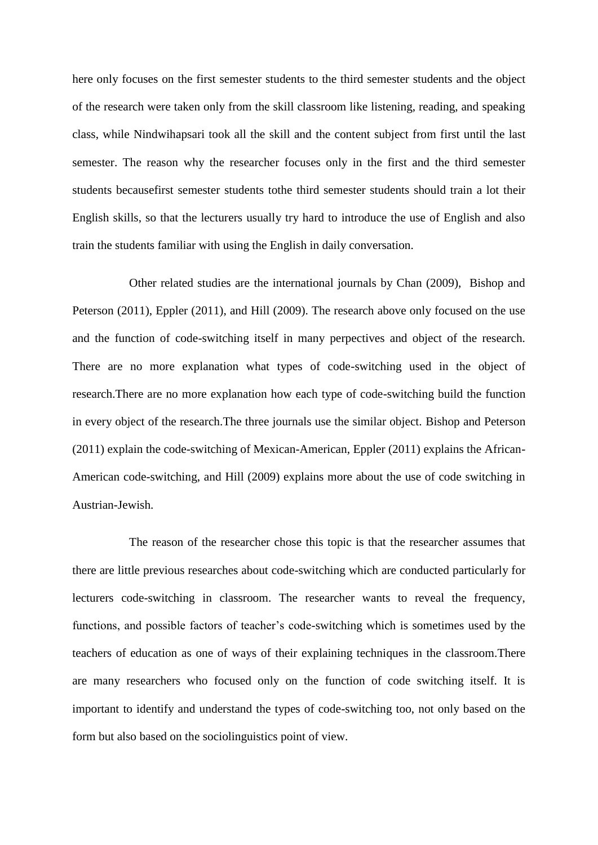here only focuses on the first semester students to the third semester students and the object of the research were taken only from the skill classroom like listening, reading, and speaking class, while Nindwihapsari took all the skill and the content subject from first until the last semester. The reason why the researcher focuses only in the first and the third semester students becausefirst semester students tothe third semester students should train a lot their English skills, so that the lecturers usually try hard to introduce the use of English and also train the students familiar with using the English in daily conversation.

Other related studies are the international journals by Chan (2009), Bishop and Peterson (2011), Eppler (2011), and Hill (2009). The research above only focused on the use and the function of code-switching itself in many perpectives and object of the research. There are no more explanation what types of code-switching used in the object of research.There are no more explanation how each type of code-switching build the function in every object of the research.The three journals use the similar object. Bishop and Peterson (2011) explain the code-switching of Mexican-American, Eppler (2011) explains the African-American code-switching, and Hill (2009) explains more about the use of code switching in Austrian-Jewish.

The reason of the researcher chose this topic is that the researcher assumes that there are little previous researches about code-switching which are conducted particularly for lecturers code-switching in classroom. The researcher wants to reveal the frequency, functions, and possible factors of teacher's code-switching which is sometimes used by the teachers of education as one of ways of their explaining techniques in the classroom.There are many researchers who focused only on the function of code switching itself. It is important to identify and understand the types of code-switching too, not only based on the form but also based on the sociolinguistics point of view.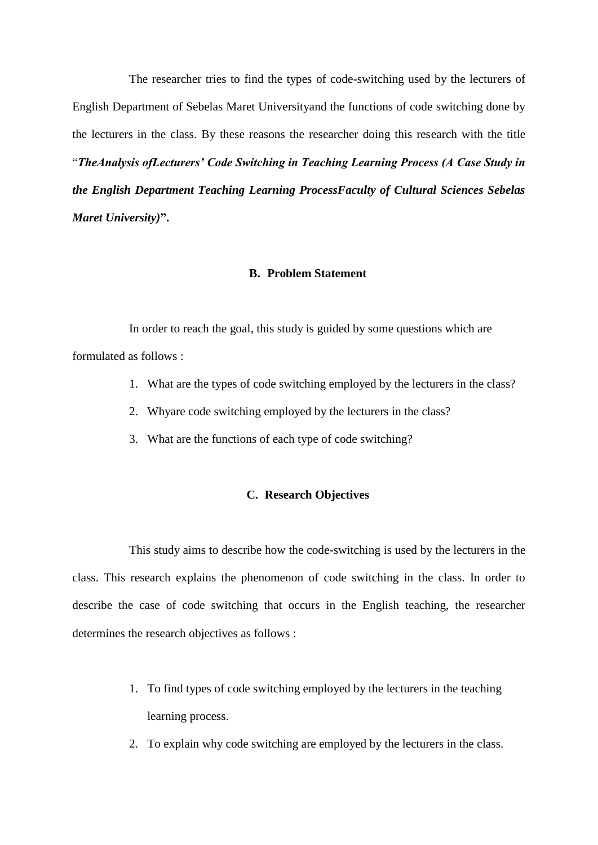The researcher tries to find the types of code-switching used by the lecturers of English Department of Sebelas Maret Universityand the functions of code switching done by the lecturers in the class. By these reasons the researcher doing this research with the title "*TheAnalysis ofLecturers' Code Switching in Teaching Learning Process (A Case Study in the English Department Teaching Learning ProcessFaculty of Cultural Sciences Sebelas Maret University)***".** 

## **B. Problem Statement**

In order to reach the goal, this study is guided by some questions which are formulated as follows :

- 1. What are the types of code switching employed by the lecturers in the class?
- 2. Whyare code switching employed by the lecturers in the class?
- 3. What are the functions of each type of code switching?

## **C. Research Objectives**

This study aims to describe how the code-switching is used by the lecturers in the class. This research explains the phenomenon of code switching in the class. In order to describe the case of code switching that occurs in the English teaching, the researcher determines the research objectives as follows :

- 1. To find types of code switching employed by the lecturers in the teaching learning process.
- 2. To explain why code switching are employed by the lecturers in the class.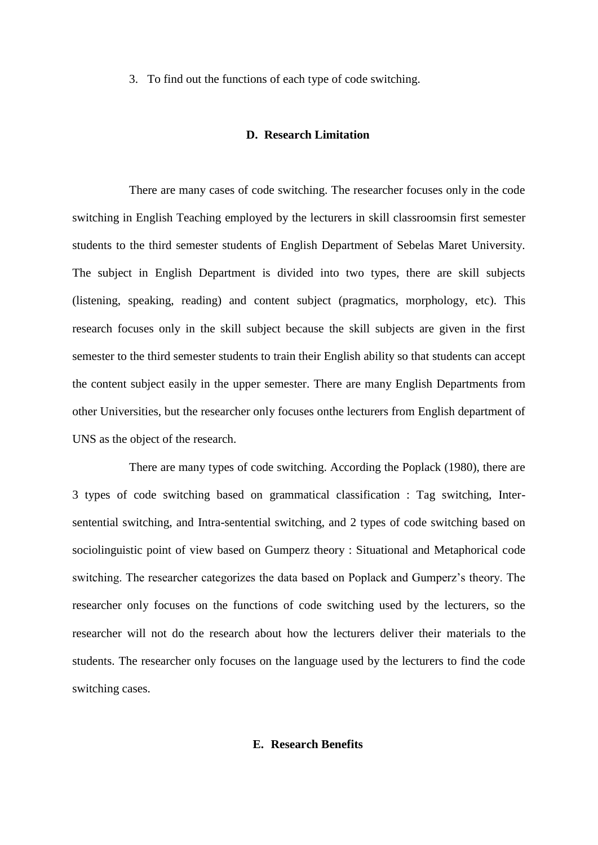3. To find out the functions of each type of code switching.

#### **D. Research Limitation**

There are many cases of code switching. The researcher focuses only in the code switching in English Teaching employed by the lecturers in skill classroomsin first semester students to the third semester students of English Department of Sebelas Maret University. The subject in English Department is divided into two types, there are skill subjects (listening, speaking, reading) and content subject (pragmatics, morphology, etc). This research focuses only in the skill subject because the skill subjects are given in the first semester to the third semester students to train their English ability so that students can accept the content subject easily in the upper semester. There are many English Departments from other Universities, but the researcher only focuses onthe lecturers from English department of UNS as the object of the research.

There are many types of code switching. According the Poplack (1980), there are 3 types of code switching based on grammatical classification : Tag switching, Intersentential switching, and Intra-sentential switching, and 2 types of code switching based on sociolinguistic point of view based on Gumperz theory : Situational and Metaphorical code switching. The researcher categorizes the data based on Poplack and Gumperz's theory. The researcher only focuses on the functions of code switching used by the lecturers, so the researcher will not do the research about how the lecturers deliver their materials to the students. The researcher only focuses on the language used by the lecturers to find the code switching cases.

# **E. Research Benefits**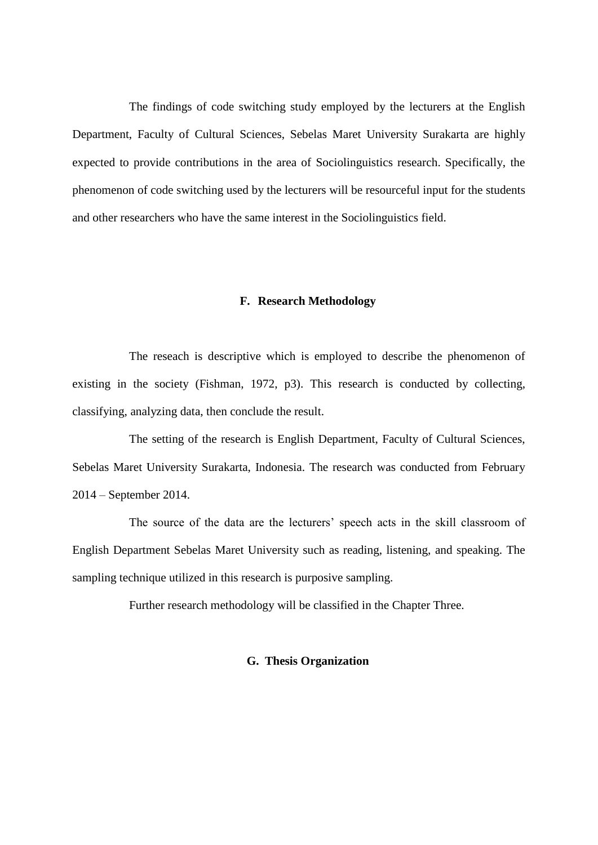The findings of code switching study employed by the lecturers at the English Department, Faculty of Cultural Sciences, Sebelas Maret University Surakarta are highly expected to provide contributions in the area of Sociolinguistics research. Specifically, the phenomenon of code switching used by the lecturers will be resourceful input for the students and other researchers who have the same interest in the Sociolinguistics field.

#### **F. Research Methodology**

The reseach is descriptive which is employed to describe the phenomenon of existing in the society (Fishman, 1972, p3). This research is conducted by collecting, classifying, analyzing data, then conclude the result.

The setting of the research is English Department, Faculty of Cultural Sciences, Sebelas Maret University Surakarta, Indonesia. The research was conducted from February 2014 – September 2014.

The source of the data are the lecturers' speech acts in the skill classroom of English Department Sebelas Maret University such as reading, listening, and speaking. The sampling technique utilized in this research is purposive sampling.

Further research methodology will be classified in the Chapter Three.

## **G. Thesis Organization**